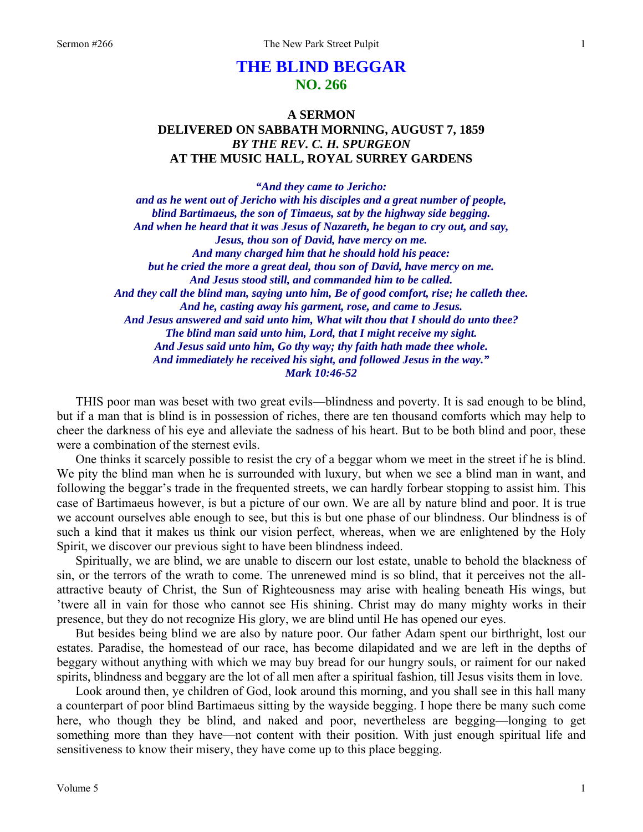# **THE BLIND BEGGAR NO. 266**

## **A SERMON DELIVERED ON SABBATH MORNING, AUGUST 7, 1859**  *BY THE REV. C. H. SPURGEON*  **AT THE MUSIC HALL, ROYAL SURREY GARDENS**

*"And they came to Jericho: and as he went out of Jericho with his disciples and a great number of people, blind Bartimaeus, the son of Timaeus, sat by the highway side begging. And when he heard that it was Jesus of Nazareth, he began to cry out, and say, Jesus, thou son of David, have mercy on me. And many charged him that he should hold his peace: but he cried the more a great deal, thou son of David, have mercy on me. And Jesus stood still, and commanded him to be called. And they call the blind man, saying unto him, Be of good comfort, rise; he calleth thee. And he, casting away his garment, rose, and came to Jesus. And Jesus answered and said unto him, What wilt thou that I should do unto thee? The blind man said unto him, Lord, that I might receive my sight. And Jesus said unto him, Go thy way; thy faith hath made thee whole. And immediately he received his sight, and followed Jesus in the way." Mark 10:46-52* 

THIS poor man was beset with two great evils—blindness and poverty. It is sad enough to be blind, but if a man that is blind is in possession of riches, there are ten thousand comforts which may help to cheer the darkness of his eye and alleviate the sadness of his heart. But to be both blind and poor, these were a combination of the sternest evils.

One thinks it scarcely possible to resist the cry of a beggar whom we meet in the street if he is blind. We pity the blind man when he is surrounded with luxury, but when we see a blind man in want, and following the beggar's trade in the frequented streets, we can hardly forbear stopping to assist him. This case of Bartimaeus however, is but a picture of our own. We are all by nature blind and poor. It is true we account ourselves able enough to see, but this is but one phase of our blindness. Our blindness is of such a kind that it makes us think our vision perfect, whereas, when we are enlightened by the Holy Spirit, we discover our previous sight to have been blindness indeed.

Spiritually, we are blind, we are unable to discern our lost estate, unable to behold the blackness of sin, or the terrors of the wrath to come. The unrenewed mind is so blind, that it perceives not the allattractive beauty of Christ, the Sun of Righteousness may arise with healing beneath His wings, but 'twere all in vain for those who cannot see His shining. Christ may do many mighty works in their presence, but they do not recognize His glory, we are blind until He has opened our eyes.

But besides being blind we are also by nature poor. Our father Adam spent our birthright, lost our estates. Paradise, the homestead of our race, has become dilapidated and we are left in the depths of beggary without anything with which we may buy bread for our hungry souls, or raiment for our naked spirits, blindness and beggary are the lot of all men after a spiritual fashion, till Jesus visits them in love.

Look around then, ye children of God, look around this morning, and you shall see in this hall many a counterpart of poor blind Bartimaeus sitting by the wayside begging. I hope there be many such come here, who though they be blind, and naked and poor, nevertheless are begging—longing to get something more than they have—not content with their position. With just enough spiritual life and sensitiveness to know their misery, they have come up to this place begging.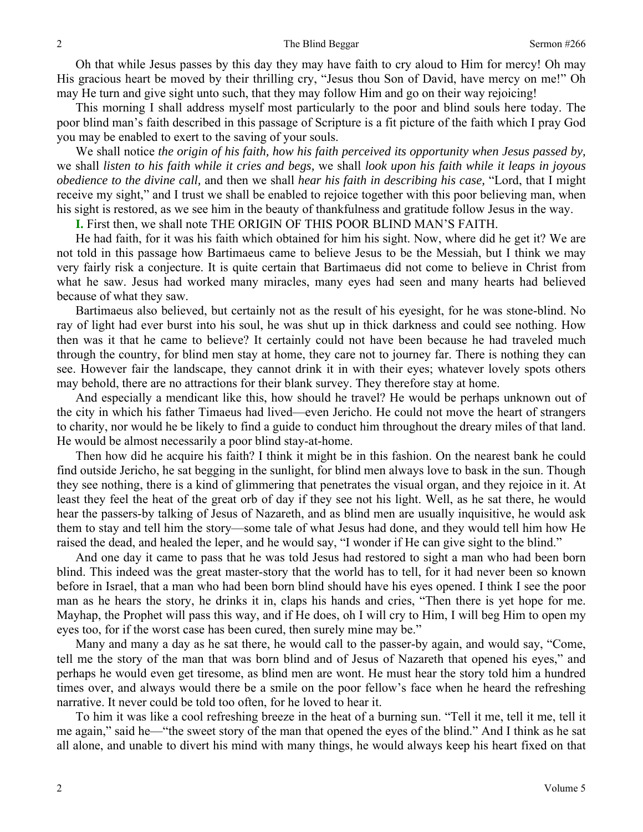Oh that while Jesus passes by this day they may have faith to cry aloud to Him for mercy! Oh may His gracious heart be moved by their thrilling cry, "Jesus thou Son of David, have mercy on me!" Oh may He turn and give sight unto such, that they may follow Him and go on their way rejoicing!

This morning I shall address myself most particularly to the poor and blind souls here today. The poor blind man's faith described in this passage of Scripture is a fit picture of the faith which I pray God you may be enabled to exert to the saving of your souls.

We shall notice *the origin of his faith, how his faith perceived its opportunity when Jesus passed by,*  we shall *listen to his faith while it cries and begs,* we shall *look upon his faith while it leaps in joyous obedience to the divine call,* and then we shall *hear his faith in describing his case,* "Lord, that I might receive my sight," and I trust we shall be enabled to rejoice together with this poor believing man, when his sight is restored, as we see him in the beauty of thankfulness and gratitude follow Jesus in the way.

**I.** First then, we shall note THE ORIGIN OF THIS POOR BLIND MAN'S FAITH.

He had faith, for it was his faith which obtained for him his sight. Now, where did he get it? We are not told in this passage how Bartimaeus came to believe Jesus to be the Messiah, but I think we may very fairly risk a conjecture. It is quite certain that Bartimaeus did not come to believe in Christ from what he saw. Jesus had worked many miracles, many eyes had seen and many hearts had believed because of what they saw.

Bartimaeus also believed, but certainly not as the result of his eyesight, for he was stone-blind. No ray of light had ever burst into his soul, he was shut up in thick darkness and could see nothing. How then was it that he came to believe? It certainly could not have been because he had traveled much through the country, for blind men stay at home, they care not to journey far. There is nothing they can see. However fair the landscape, they cannot drink it in with their eyes; whatever lovely spots others may behold, there are no attractions for their blank survey. They therefore stay at home.

And especially a mendicant like this, how should he travel? He would be perhaps unknown out of the city in which his father Timaeus had lived—even Jericho. He could not move the heart of strangers to charity, nor would he be likely to find a guide to conduct him throughout the dreary miles of that land. He would be almost necessarily a poor blind stay-at-home.

Then how did he acquire his faith? I think it might be in this fashion. On the nearest bank he could find outside Jericho, he sat begging in the sunlight, for blind men always love to bask in the sun. Though they see nothing, there is a kind of glimmering that penetrates the visual organ, and they rejoice in it. At least they feel the heat of the great orb of day if they see not his light. Well, as he sat there, he would hear the passers-by talking of Jesus of Nazareth, and as blind men are usually inquisitive, he would ask them to stay and tell him the story—some tale of what Jesus had done, and they would tell him how He raised the dead, and healed the leper, and he would say, "I wonder if He can give sight to the blind."

And one day it came to pass that he was told Jesus had restored to sight a man who had been born blind. This indeed was the great master-story that the world has to tell, for it had never been so known before in Israel, that a man who had been born blind should have his eyes opened. I think I see the poor man as he hears the story, he drinks it in, claps his hands and cries, "Then there is yet hope for me. Mayhap, the Prophet will pass this way, and if He does, oh I will cry to Him, I will beg Him to open my eyes too, for if the worst case has been cured, then surely mine may be."

Many and many a day as he sat there, he would call to the passer-by again, and would say, "Come, tell me the story of the man that was born blind and of Jesus of Nazareth that opened his eyes," and perhaps he would even get tiresome, as blind men are wont. He must hear the story told him a hundred times over, and always would there be a smile on the poor fellow's face when he heard the refreshing narrative. It never could be told too often, for he loved to hear it.

To him it was like a cool refreshing breeze in the heat of a burning sun. "Tell it me, tell it me, tell it me again," said he—"the sweet story of the man that opened the eyes of the blind." And I think as he sat all alone, and unable to divert his mind with many things, he would always keep his heart fixed on that

2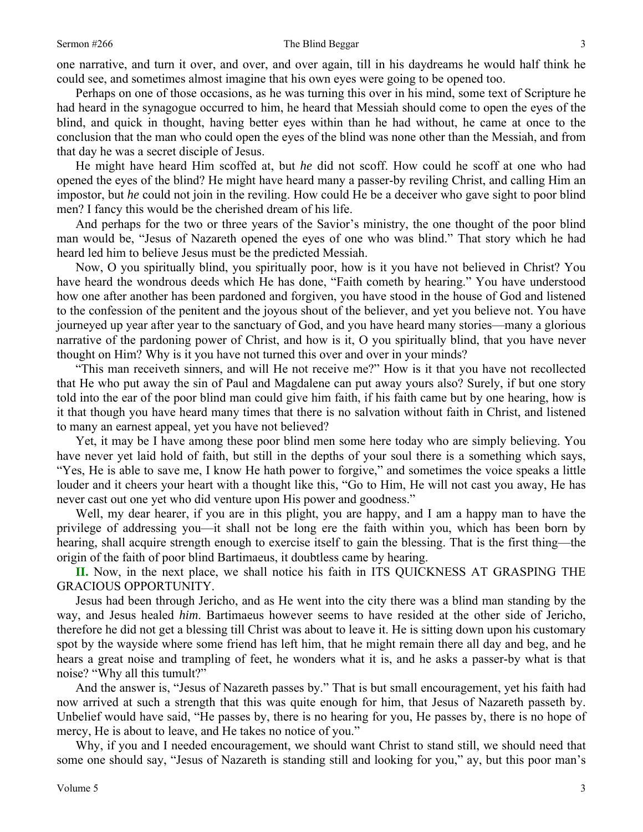### Sermon #266 The Blind Beggar

one narrative, and turn it over, and over, and over again, till in his daydreams he would half think he could see, and sometimes almost imagine that his own eyes were going to be opened too.

Perhaps on one of those occasions, as he was turning this over in his mind, some text of Scripture he had heard in the synagogue occurred to him, he heard that Messiah should come to open the eyes of the blind, and quick in thought, having better eyes within than he had without, he came at once to the conclusion that the man who could open the eyes of the blind was none other than the Messiah, and from that day he was a secret disciple of Jesus.

He might have heard Him scoffed at, but *he* did not scoff. How could he scoff at one who had opened the eyes of the blind? He might have heard many a passer-by reviling Christ, and calling Him an impostor, but *he* could not join in the reviling. How could He be a deceiver who gave sight to poor blind men? I fancy this would be the cherished dream of his life.

And perhaps for the two or three years of the Savior's ministry, the one thought of the poor blind man would be, "Jesus of Nazareth opened the eyes of one who was blind." That story which he had heard led him to believe Jesus must be the predicted Messiah.

Now, O you spiritually blind, you spiritually poor, how is it you have not believed in Christ? You have heard the wondrous deeds which He has done, "Faith cometh by hearing." You have understood how one after another has been pardoned and forgiven, you have stood in the house of God and listened to the confession of the penitent and the joyous shout of the believer, and yet you believe not. You have journeyed up year after year to the sanctuary of God, and you have heard many stories—many a glorious narrative of the pardoning power of Christ, and how is it, O you spiritually blind, that you have never thought on Him? Why is it you have not turned this over and over in your minds?

"This man receiveth sinners, and will He not receive me?" How is it that you have not recollected that He who put away the sin of Paul and Magdalene can put away yours also? Surely, if but one story told into the ear of the poor blind man could give him faith, if his faith came but by one hearing, how is it that though you have heard many times that there is no salvation without faith in Christ, and listened to many an earnest appeal, yet you have not believed?

Yet, it may be I have among these poor blind men some here today who are simply believing. You have never yet laid hold of faith, but still in the depths of your soul there is a something which says, "Yes, He is able to save me, I know He hath power to forgive," and sometimes the voice speaks a little louder and it cheers your heart with a thought like this, "Go to Him, He will not cast you away, He has never cast out one yet who did venture upon His power and goodness."

Well, my dear hearer, if you are in this plight, you are happy, and I am a happy man to have the privilege of addressing you—it shall not be long ere the faith within you, which has been born by hearing, shall acquire strength enough to exercise itself to gain the blessing. That is the first thing—the origin of the faith of poor blind Bartimaeus, it doubtless came by hearing.

**II.** Now, in the next place, we shall notice his faith in ITS QUICKNESS AT GRASPING THE GRACIOUS OPPORTUNITY.

Jesus had been through Jericho, and as He went into the city there was a blind man standing by the way, and Jesus healed *him*. Bartimaeus however seems to have resided at the other side of Jericho, therefore he did not get a blessing till Christ was about to leave it. He is sitting down upon his customary spot by the wayside where some friend has left him, that he might remain there all day and beg, and he hears a great noise and trampling of feet, he wonders what it is, and he asks a passer-by what is that noise? "Why all this tumult?"

And the answer is, "Jesus of Nazareth passes by." That is but small encouragement, yet his faith had now arrived at such a strength that this was quite enough for him, that Jesus of Nazareth passeth by. Unbelief would have said, "He passes by, there is no hearing for you, He passes by, there is no hope of mercy, He is about to leave, and He takes no notice of you."

Why, if you and I needed encouragement, we should want Christ to stand still, we should need that some one should say, "Jesus of Nazareth is standing still and looking for you," ay, but this poor man's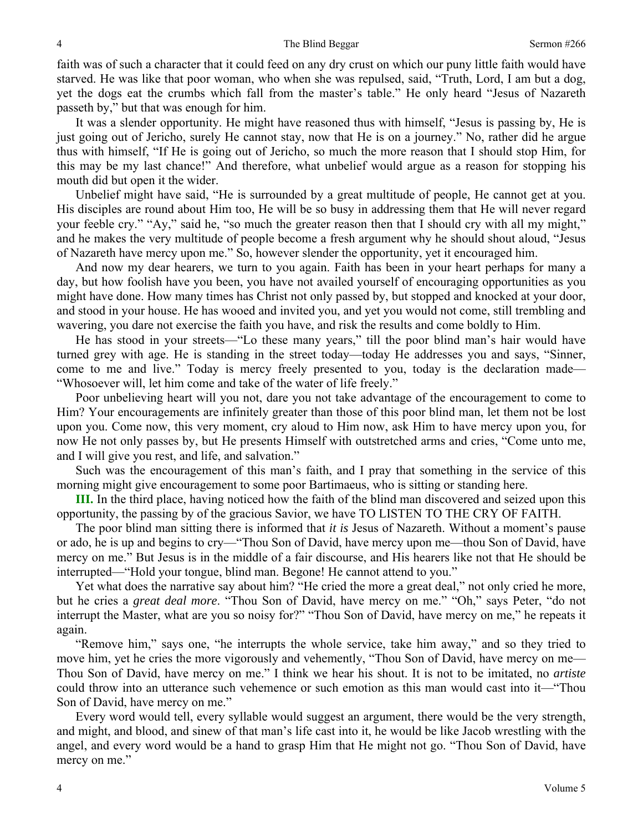faith was of such a character that it could feed on any dry crust on which our puny little faith would have starved. He was like that poor woman, who when she was repulsed, said, "Truth, Lord, I am but a dog, yet the dogs eat the crumbs which fall from the master's table." He only heard "Jesus of Nazareth passeth by," but that was enough for him.

It was a slender opportunity. He might have reasoned thus with himself, "Jesus is passing by, He is just going out of Jericho, surely He cannot stay, now that He is on a journey." No, rather did he argue thus with himself, "If He is going out of Jericho, so much the more reason that I should stop Him, for this may be my last chance!" And therefore, what unbelief would argue as a reason for stopping his mouth did but open it the wider.

Unbelief might have said, "He is surrounded by a great multitude of people, He cannot get at you. His disciples are round about Him too, He will be so busy in addressing them that He will never regard your feeble cry." "Ay," said he, "so much the greater reason then that I should cry with all my might," and he makes the very multitude of people become a fresh argument why he should shout aloud, "Jesus of Nazareth have mercy upon me." So, however slender the opportunity, yet it encouraged him.

And now my dear hearers, we turn to you again. Faith has been in your heart perhaps for many a day, but how foolish have you been, you have not availed yourself of encouraging opportunities as you might have done. How many times has Christ not only passed by, but stopped and knocked at your door, and stood in your house. He has wooed and invited you, and yet you would not come, still trembling and wavering, you dare not exercise the faith you have, and risk the results and come boldly to Him.

He has stood in your streets—"Lo these many years," till the poor blind man's hair would have turned grey with age. He is standing in the street today—today He addresses you and says, "Sinner, come to me and live." Today is mercy freely presented to you, today is the declaration made— "Whosoever will, let him come and take of the water of life freely."

Poor unbelieving heart will you not, dare you not take advantage of the encouragement to come to Him? Your encouragements are infinitely greater than those of this poor blind man, let them not be lost upon you. Come now, this very moment, cry aloud to Him now, ask Him to have mercy upon you, for now He not only passes by, but He presents Himself with outstretched arms and cries, "Come unto me, and I will give you rest, and life, and salvation."

Such was the encouragement of this man's faith, and I pray that something in the service of this morning might give encouragement to some poor Bartimaeus, who is sitting or standing here.

**III.** In the third place, having noticed how the faith of the blind man discovered and seized upon this opportunity, the passing by of the gracious Savior, we have TO LISTEN TO THE CRY OF FAITH.

The poor blind man sitting there is informed that *it is* Jesus of Nazareth. Without a moment's pause or ado, he is up and begins to cry—"Thou Son of David, have mercy upon me—thou Son of David, have mercy on me." But Jesus is in the middle of a fair discourse, and His hearers like not that He should be interrupted—"Hold your tongue, blind man. Begone! He cannot attend to you."

Yet what does the narrative say about him? "He cried the more a great deal," not only cried he more, but he cries a *great deal more*. "Thou Son of David, have mercy on me." "Oh," says Peter, "do not interrupt the Master, what are you so noisy for?" "Thou Son of David, have mercy on me," he repeats it again.

"Remove him," says one, "he interrupts the whole service, take him away," and so they tried to move him, yet he cries the more vigorously and vehemently, "Thou Son of David, have mercy on me— Thou Son of David, have mercy on me." I think we hear his shout. It is not to be imitated, no *artiste* could throw into an utterance such vehemence or such emotion as this man would cast into it—"Thou Son of David, have mercy on me."

Every word would tell, every syllable would suggest an argument, there would be the very strength, and might, and blood, and sinew of that man's life cast into it, he would be like Jacob wrestling with the angel, and every word would be a hand to grasp Him that He might not go. "Thou Son of David, have mercy on me."

4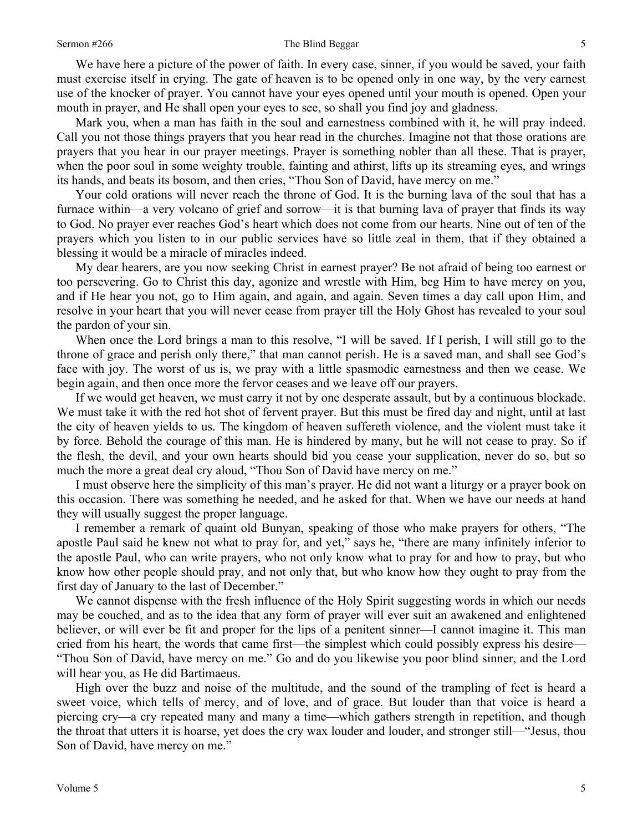We have here a picture of the power of faith. In every case, sinner, if you would be saved, your faith must exercise itself in crying. The gate of heaven is to be opened only in one way, by the very earnest use of the knocker of prayer. You cannot have your eyes opened until your mouth is opened. Open your mouth in prayer, and He shall open your eyes to see, so shall you find joy and gladness.

Mark you, when a man has faith in the soul and earnestness combined with it, he will pray indeed. Call you not those things prayers that you hear read in the churches. Imagine not that those orations are prayers that you hear in our prayer meetings. Prayer is something nobler than all these. That is prayer, when the poor soul in some weighty trouble, fainting and athirst, lifts up its streaming eyes, and wrings its hands, and beats its bosom, and then cries, "Thou Son of David, have mercy on me."

Your cold orations will never reach the throne of God. It is the burning lava of the soul that has a furnace within—a very volcano of grief and sorrow—it is that burning lava of prayer that finds its way to God. No prayer ever reaches God's heart which does not come from our hearts. Nine out of ten of the prayers which you listen to in our public services have so little zeal in them, that if they obtained a blessing it would be a miracle of miracles indeed.

My dear hearers, are you now seeking Christ in earnest prayer? Be not afraid of being too earnest or too persevering. Go to Christ this day, agonize and wrestle with Him, beg Him to have mercy on you, and if He hear you not, go to Him again, and again, and again. Seven times a day call upon Him, and resolve in your heart that you will never cease from prayer till the Holy Ghost has revealed to your soul the pardon of your sin.

When once the Lord brings a man to this resolve, "I will be saved. If I perish, I will still go to the throne of grace and perish only there," that man cannot perish. He is a saved man, and shall see God's face with joy. The worst of us is, we pray with a little spasmodic earnestness and then we cease. We begin again, and then once more the fervor ceases and we leave off our prayers.

If we would get heaven, we must carry it not by one desperate assault, but by a continuous blockade. We must take it with the red hot shot of fervent prayer. But this must be fired day and night, until at last the city of heaven yields to us. The kingdom of heaven suffereth violence, and the violent must take it by force. Behold the courage of this man. He is hindered by many, but he will not cease to pray. So if the flesh, the devil, and your own hearts should bid you cease your supplication, never do so, but so much the more a great deal cry aloud, "Thou Son of David have mercy on me."

I must observe here the simplicity of this man's prayer. He did not want a liturgy or a prayer book on this occasion. There was something he needed, and he asked for that. When we have our needs at hand they will usually suggest the proper language.

I remember a remark of quaint old Bunyan, speaking of those who make prayers for others, "The apostle Paul said he knew not what to pray for, and yet," says he, "there are many infinitely inferior to the apostle Paul, who can write prayers, who not only know what to pray for and how to pray, but who know how other people should pray, and not only that, but who know how they ought to pray from the first day of January to the last of December."

We cannot dispense with the fresh influence of the Holy Spirit suggesting words in which our needs may be couched, and as to the idea that any form of prayer will ever suit an awakened and enlightened believer, or will ever be fit and proper for the lips of a penitent sinner—I cannot imagine it. This man cried from his heart, the words that came first—the simplest which could possibly express his desire— "Thou Son of David, have mercy on me." Go and do you likewise you poor blind sinner, and the Lord will hear you, as He did Bartimaeus.

High over the buzz and noise of the multitude, and the sound of the trampling of feet is heard a sweet voice, which tells of mercy, and of love, and of grace. But louder than that voice is heard a piercing cry—a cry repeated many and many a time—which gathers strength in repetition, and though the throat that utters it is hoarse, yet does the cry wax louder and louder, and stronger still—"Jesus, thou Son of David, have mercy on me."

5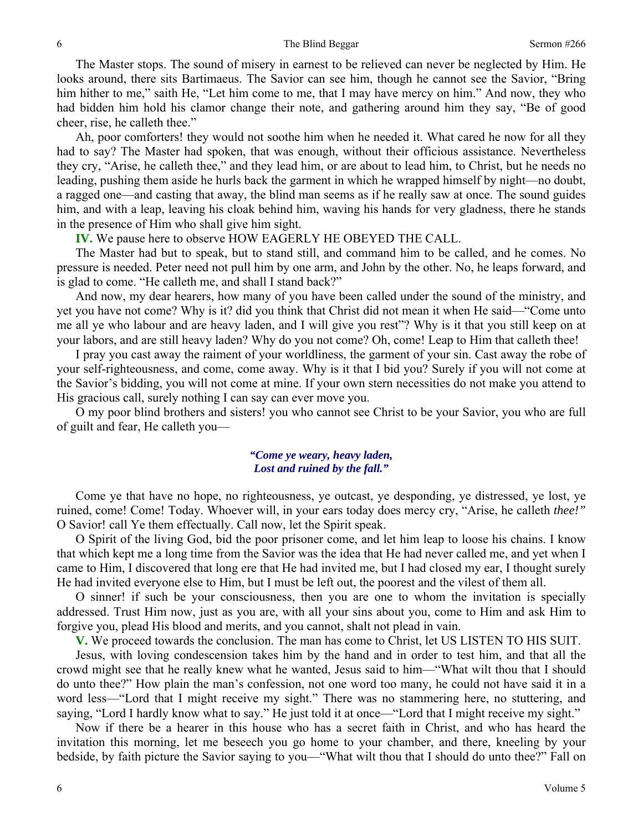The Master stops. The sound of misery in earnest to be relieved can never be neglected by Him. He looks around, there sits Bartimaeus. The Savior can see him, though he cannot see the Savior, "Bring him hither to me," saith He, "Let him come to me, that I may have mercy on him." And now, they who had bidden him hold his clamor change their note, and gathering around him they say, "Be of good cheer, rise, he calleth thee."

Ah, poor comforters! they would not soothe him when he needed it. What cared he now for all they had to say? The Master had spoken, that was enough, without their officious assistance. Nevertheless they cry, "Arise, he calleth thee," and they lead him, or are about to lead him, to Christ, but he needs no leading, pushing them aside he hurls back the garment in which he wrapped himself by night—no doubt, a ragged one—and casting that away, the blind man seems as if he really saw at once. The sound guides him, and with a leap, leaving his cloak behind him, waving his hands for very gladness, there he stands in the presence of Him who shall give him sight.

**IV.** We pause here to observe HOW EAGERLY HE OBEYED THE CALL.

The Master had but to speak, but to stand still, and command him to be called, and he comes. No pressure is needed. Peter need not pull him by one arm, and John by the other. No, he leaps forward, and is glad to come. "He calleth me, and shall I stand back?"

And now, my dear hearers, how many of you have been called under the sound of the ministry, and yet you have not come? Why is it? did you think that Christ did not mean it when He said—"Come unto me all ye who labour and are heavy laden, and I will give you rest"? Why is it that you still keep on at your labors, and are still heavy laden? Why do you not come? Oh, come! Leap to Him that calleth thee!

I pray you cast away the raiment of your worldliness, the garment of your sin. Cast away the robe of your self-righteousness, and come, come away. Why is it that I bid you? Surely if you will not come at the Savior's bidding, you will not come at mine. If your own stern necessities do not make you attend to His gracious call, surely nothing I can say can ever move you.

O my poor blind brothers and sisters! you who cannot see Christ to be your Savior, you who are full of guilt and fear, He calleth you—

### *"Come ye weary, heavy laden, Lost and ruined by the fall."*

Come ye that have no hope, no righteousness, ye outcast, ye desponding, ye distressed, ye lost, ye ruined, come! Come! Today. Whoever will, in your ears today does mercy cry, "Arise, he calleth *thee!"* O Savior! call Ye them effectually. Call now, let the Spirit speak.

O Spirit of the living God, bid the poor prisoner come, and let him leap to loose his chains. I know that which kept me a long time from the Savior was the idea that He had never called me, and yet when I came to Him, I discovered that long ere that He had invited me, but I had closed my ear, I thought surely He had invited everyone else to Him, but I must be left out, the poorest and the vilest of them all.

O sinner! if such be your consciousness, then you are one to whom the invitation is specially addressed. Trust Him now, just as you are, with all your sins about you, come to Him and ask Him to forgive you, plead His blood and merits, and you cannot, shalt not plead in vain.

**V.** We proceed towards the conclusion. The man has come to Christ, let US LISTEN TO HIS SUIT.

Jesus, with loving condescension takes him by the hand and in order to test him, and that all the crowd might see that he really knew what he wanted, Jesus said to him—"What wilt thou that I should do unto thee?" How plain the man's confession, not one word too many, he could not have said it in a word less—"Lord that I might receive my sight." There was no stammering here, no stuttering, and saying, "Lord I hardly know what to say." He just told it at once—"Lord that I might receive my sight."

Now if there be a hearer in this house who has a secret faith in Christ, and who has heard the invitation this morning, let me beseech you go home to your chamber, and there, kneeling by your bedside, by faith picture the Savior saying to you—"What wilt thou that I should do unto thee?" Fall on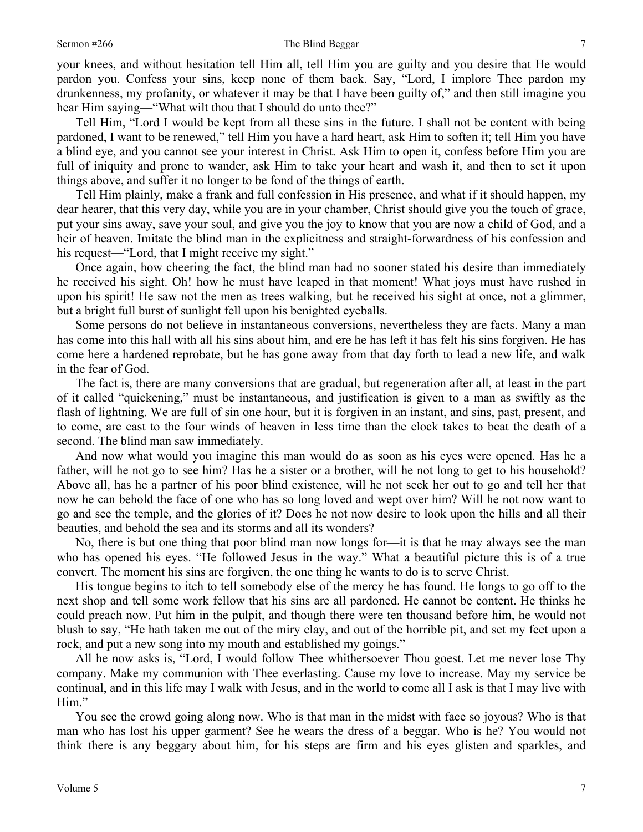#### Sermon #266 The Blind Beggar

your knees, and without hesitation tell Him all, tell Him you are guilty and you desire that He would pardon you. Confess your sins, keep none of them back. Say, "Lord, I implore Thee pardon my drunkenness, my profanity, or whatever it may be that I have been guilty of," and then still imagine you hear Him saying—"What wilt thou that I should do unto thee?"

Tell Him, "Lord I would be kept from all these sins in the future. I shall not be content with being pardoned, I want to be renewed," tell Him you have a hard heart, ask Him to soften it; tell Him you have a blind eye, and you cannot see your interest in Christ. Ask Him to open it, confess before Him you are full of iniquity and prone to wander, ask Him to take your heart and wash it, and then to set it upon things above, and suffer it no longer to be fond of the things of earth.

Tell Him plainly, make a frank and full confession in His presence, and what if it should happen, my dear hearer, that this very day, while you are in your chamber, Christ should give you the touch of grace, put your sins away, save your soul, and give you the joy to know that you are now a child of God, and a heir of heaven. Imitate the blind man in the explicitness and straight-forwardness of his confession and his request—"Lord, that I might receive my sight."

Once again, how cheering the fact, the blind man had no sooner stated his desire than immediately he received his sight. Oh! how he must have leaped in that moment! What joys must have rushed in upon his spirit! He saw not the men as trees walking, but he received his sight at once, not a glimmer, but a bright full burst of sunlight fell upon his benighted eyeballs.

Some persons do not believe in instantaneous conversions, nevertheless they are facts. Many a man has come into this hall with all his sins about him, and ere he has left it has felt his sins forgiven. He has come here a hardened reprobate, but he has gone away from that day forth to lead a new life, and walk in the fear of God.

The fact is, there are many conversions that are gradual, but regeneration after all, at least in the part of it called "quickening," must be instantaneous, and justification is given to a man as swiftly as the flash of lightning. We are full of sin one hour, but it is forgiven in an instant, and sins, past, present, and to come, are cast to the four winds of heaven in less time than the clock takes to beat the death of a second. The blind man saw immediately.

And now what would you imagine this man would do as soon as his eyes were opened. Has he a father, will he not go to see him? Has he a sister or a brother, will he not long to get to his household? Above all, has he a partner of his poor blind existence, will he not seek her out to go and tell her that now he can behold the face of one who has so long loved and wept over him? Will he not now want to go and see the temple, and the glories of it? Does he not now desire to look upon the hills and all their beauties, and behold the sea and its storms and all its wonders?

No, there is but one thing that poor blind man now longs for—it is that he may always see the man who has opened his eyes. "He followed Jesus in the way." What a beautiful picture this is of a true convert. The moment his sins are forgiven, the one thing he wants to do is to serve Christ.

His tongue begins to itch to tell somebody else of the mercy he has found. He longs to go off to the next shop and tell some work fellow that his sins are all pardoned. He cannot be content. He thinks he could preach now. Put him in the pulpit, and though there were ten thousand before him, he would not blush to say, "He hath taken me out of the miry clay, and out of the horrible pit, and set my feet upon a rock, and put a new song into my mouth and established my goings."

All he now asks is, "Lord, I would follow Thee whithersoever Thou goest. Let me never lose Thy company. Make my communion with Thee everlasting. Cause my love to increase. May my service be continual, and in this life may I walk with Jesus, and in the world to come all I ask is that I may live with Him."

You see the crowd going along now. Who is that man in the midst with face so joyous? Who is that man who has lost his upper garment? See he wears the dress of a beggar. Who is he? You would not think there is any beggary about him, for his steps are firm and his eyes glisten and sparkles, and